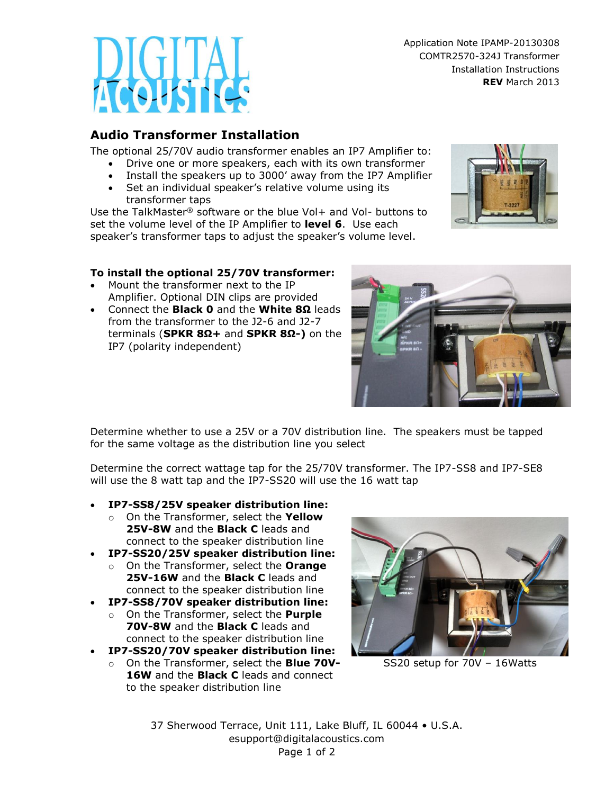Application Note IPAMP-20130308 COMTR2570-324J Transformer Installation Instructions **REV** March 2013

## **Audio Transformer Installation**

The optional 25/70V audio transformer enables an IP7 Amplifier to:

- Drive one or more speakers, each with its own transformer
- Install the speakers up to 3000' away from the IP7 Amplifier
- Set an individual speaker's relative volume using its transformer taps

Use the TalkMaster® software or the blue Vol+ and Vol- buttons to set the volume level of the IP Amplifier to **level 6**. Use each speaker's transformer taps to adjust the speaker's volume level.



## **To install the optional 25/70V transformer:**

- Mount the transformer next to the IP Amplifier. Optional DIN clips are provided
- Connect the **Black 0** and the **White 8Ω** leads from the transformer to the J2-6 and J2-7 terminals (**SPKR 8Ω+** and **SPKR 8Ω-)** on the IP7 (polarity independent)

Determine whether to use a 25V or a 70V distribution line. The speakers must be tapped for the same voltage as the distribution line you select

Determine the correct wattage tap for the 25/70V transformer. The IP7-SS8 and IP7-SE8 will use the 8 watt tap and the IP7-SS20 will use the 16 watt tap

- **IP7-SS8/25V speaker distribution line:** 
	- o On the Transformer, select the **Yellow 25V-8W** and the **Black C** leads and connect to the speaker distribution line
- **IP7-SS20/25V speaker distribution line:** 
	- o On the Transformer, select the **Orange 25V-16W** and the **Black C** leads and connect to the speaker distribution line
- **IP7-SS8/70V speaker distribution line:** 
	- o On the Transformer, select the **Purple 70V-8W** and the **Black C** leads and connect to the speaker distribution line
- **IP7-SS20/70V speaker distribution line:** 
	- o On the Transformer, select the **Blue 70V-16W** and the **Black C** leads and connect to the speaker distribution line



SS20 setup for 70V – 16Watts

37 Sherwood Terrace, Unit 111, Lake Bluff, IL 60044 • U.S.A. esupport@digitalacoustics.com Page 1 of 2